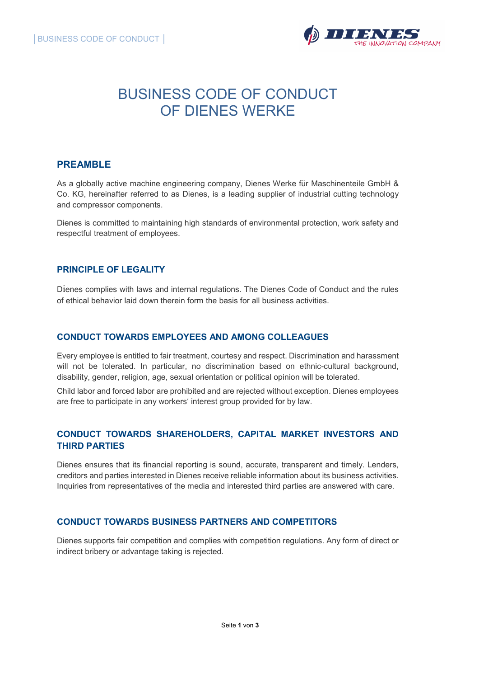

# BUSINESS CODE OF CONDUCT OF DIENES WERKE

# PREAMBLE

As a globally active machine engineering company, Dienes Werke für Maschinenteile GmbH & Co. KG, hereinafter referred to as Dienes, is a leading supplier of industrial cutting technology and compressor components.

Dienes is committed to maintaining high standards of environmental protection, work safety and respectful treatment of employees.

#### PRINCIPLE OF LEGALITY

Dienes complies with laws and internal regulations. The Dienes Code of Conduct and the rules of ethical behavior laid down therein form the basis for all business activities.

#### CONDUCT TOWARDS EMPLOYEES AND AMONG COLLEAGUES

Every employee is entitled to fair treatment, courtesy and respect. Discrimination and harassment will not be tolerated. In particular, no discrimination based on ethnic-cultural background, disability, gender, religion, age, sexual orientation or political opinion will be tolerated.

Child labor and forced labor are prohibited and are rejected without exception. Dienes employees are free to participate in any workers' interest group provided for by law.

# CONDUCT TOWARDS SHAREHOLDERS, CAPITAL MARKET INVESTORS AND THIRD PARTIES

Dienes ensures that its financial reporting is sound, accurate, transparent and timely. Lenders, creditors and parties interested in Dienes receive reliable information about its business activities. Inquiries from representatives of the media and interested third parties are answered with care.

## CONDUCT TOWARDS BUSINESS PARTNERS AND COMPETITORS

Dienes supports fair competition and complies with competition regulations. Any form of direct or indirect bribery or advantage taking is rejected.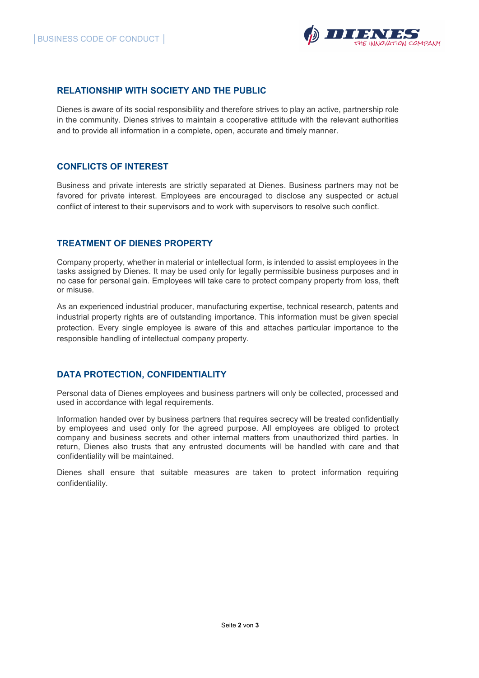

#### RELATIONSHIP WITH SOCIETY AND THE PUBLIC

Dienes is aware of its social responsibility and therefore strives to play an active, partnership role in the community. Dienes strives to maintain a cooperative attitude with the relevant authorities and to provide all information in a complete, open, accurate and timely manner.

#### CONFLICTS OF INTEREST

Business and private interests are strictly separated at Dienes. Business partners may not be favored for private interest. Employees are encouraged to disclose any suspected or actual conflict of interest to their supervisors and to work with supervisors to resolve such conflict.

## TREATMENT OF DIENES PROPERTY

Company property, whether in material or intellectual form, is intended to assist employees in the tasks assigned by Dienes. It may be used only for legally permissible business purposes and in no case for personal gain. Employees will take care to protect company property from loss, theft or misuse.

As an experienced industrial producer, manufacturing expertise, technical research, patents and industrial property rights are of outstanding importance. This information must be given special protection. Every single employee is aware of this and attaches particular importance to the responsible handling of intellectual company property.

#### DATA PROTECTION, CONFIDENTIALITY

Personal data of Dienes employees and business partners will only be collected, processed and used in accordance with legal requirements.

Information handed over by business partners that requires secrecy will be treated confidentially by employees and used only for the agreed purpose. All employees are obliged to protect company and business secrets and other internal matters from unauthorized third parties. In return, Dienes also trusts that any entrusted documents will be handled with care and that confidentiality will be maintained.

Dienes shall ensure that suitable measures are taken to protect information requiring confidentiality.